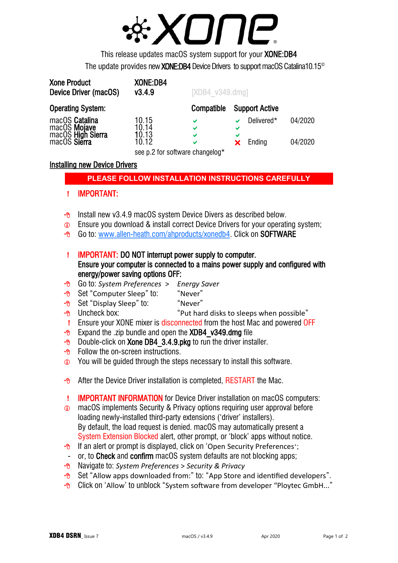

This release updates macOS system support for your XONE:DB4 The update provides new **XONE:DB4** Device Drivers to support macOS Catalina10.15<sup>©</sup>

| <b>Xone Product</b><br>Device Driver (macOS) | XONE:DB4<br>V3.4.9              | $[XDB4 \text{ v}349 \text{.} \text{dmg}]$ |                       |         |
|----------------------------------------------|---------------------------------|-------------------------------------------|-----------------------|---------|
| <b>Operating System:</b>                     |                                 | Compatible                                | <b>Support Active</b> |         |
| macOS Catalina                               | 10.15                           | V                                         | Delivered*            | 04/2020 |
| macOS Mojave                                 | 10.14                           | V                                         | ✔                     |         |
| macOS High Sierra                            | 10.13                           | V                                         | ✔                     |         |
|                                              | 10.12                           | V                                         | Ending                | 04/2020 |
|                                              | see p.2 for software changelog* |                                           |                       |         |

### Installing new Device Drivers

## **PLEASE FOLLOW INSTALLATION INSTRUCTIONS CAREFULLY**

#### **!** IMPORTANT:

- $\sqrt{6}$  Install new v3.4.9 macOS system Device Divers as described below.
- **C** Ensure you download & install correct Device Drivers for your operating system;
- Go to: [www.allen-heath.com/ahproducts/xonedb4.](https://www.allen-heath.com/ahproducts/xonedb4/#tab5) Click on SOFTWARE
- **!** IMPORTANT: DO NOT interrupt power supply to computer. Ensure your computer is connected to a mains power supply and configured with energy/power saving options OFF:
- Go to: *System Preferences* > *Energy Saver*
- <sup>8</sup> Set "Computer Sleep" to: "Never"
- <sup>o</sup> Set "Display Sleep" to: "Never"
- $\Theta$  Uncheck box:  $\Theta$   $\Theta$  Uncheck box:
- **!** Ensure your XONE mixer is disconnected from the host Mac and powered OFF
- $\sqrt{6}$  Expand the .zip bundle and open the XDB4 v349.dmg file
- $\sqrt{\theta}$  Double-click on **Xone DB4** 3.4.9.pkg to run the driver installer.
- $\Theta$  Follow the on-screen instructions.
- **The Steps 10 You will be guided through the steps necessary to install this software.**
- $\sqrt{6}$  After the Device Driver installation is completed, RESTART the Mac.
- **!** IMPORTANT INFORMATION for Device Driver installation on macOS computers:
- macOS implements Security & Privacy options requiring user approval before loading newly-installed third-party extensions ('driver' installers). By default, the load request is denied. macOS may automatically present a System Extension Blocked alert, other prompt, or 'block' apps without notice.
- $\Theta$  If an alert or prompt is displayed, click on 'Open Security Preferences'; - or, to Check and confirm macOS system defaults are not blocking apps;
- Navigate to: *System Preferences* > *Security & Privacy*
- $\Theta$  Set "Allow apps downloaded from:" to: "App Store and identified developers".
- $\Theta$  Click on 'Allow' to unblock "System software from developer "Ploytec GmbH..."